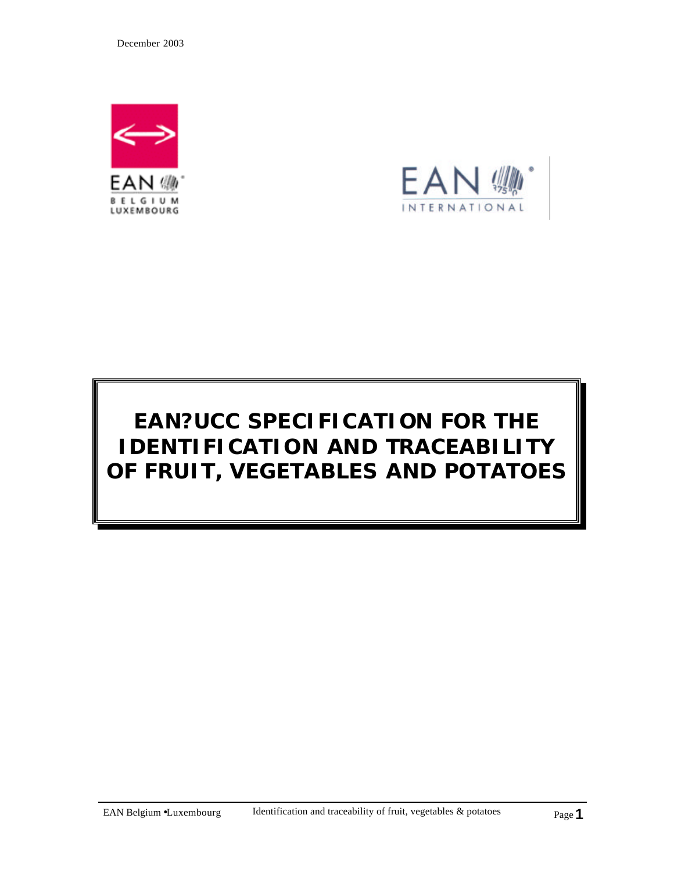December 2003





# **EAN?UCC SPECIFICATION FOR THE IDENTIFICATION AND TRACEABILITY OF FRUIT, VEGETABLES AND POTATOES**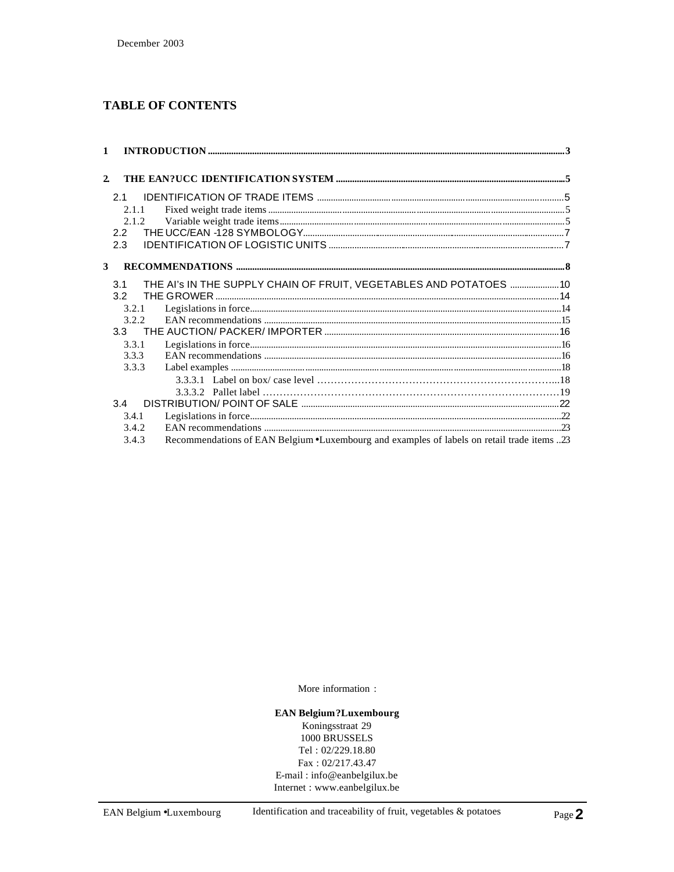# **TABLE OF CONTENTS**

| $\mathbf{1}$   |       |                                                                                            |  |
|----------------|-------|--------------------------------------------------------------------------------------------|--|
| $\overline{2}$ |       |                                                                                            |  |
|                |       |                                                                                            |  |
|                | 2.1   |                                                                                            |  |
|                | 2.1.1 |                                                                                            |  |
|                | 2.1.2 |                                                                                            |  |
|                | 2.2   |                                                                                            |  |
|                | 2.3   |                                                                                            |  |
|                |       |                                                                                            |  |
| 3              |       |                                                                                            |  |
|                | 3.1   | THE AI's IN THE SUPPLY CHAIN OF FRUIT, VEGETABLES AND POTATOES  10                         |  |
|                | 3.2   |                                                                                            |  |
|                | 3.2.1 |                                                                                            |  |
|                | 3.2.2 |                                                                                            |  |
|                | 3.3   |                                                                                            |  |
|                | 3.3.1 |                                                                                            |  |
|                | 3.3.3 |                                                                                            |  |
|                | 3.3.3 |                                                                                            |  |
|                |       |                                                                                            |  |
|                |       |                                                                                            |  |
|                | 3.4   |                                                                                            |  |
|                | 3.4.1 |                                                                                            |  |
|                | 3.4.2 |                                                                                            |  |
|                | 3.4.3 | Recommendations of EAN Belgium •Luxembourg and examples of labels on retail trade items 23 |  |
|                |       |                                                                                            |  |

More information :

#### **EAN Belgium?Luxembourg**

Koningsstraat 29 1000 BRUSSELS Tel:  $02/229.18.80$  $Fax: 02/217.43.47$ E-mail: info@eanbelgilux.be Internet : www.eanbelgilux.be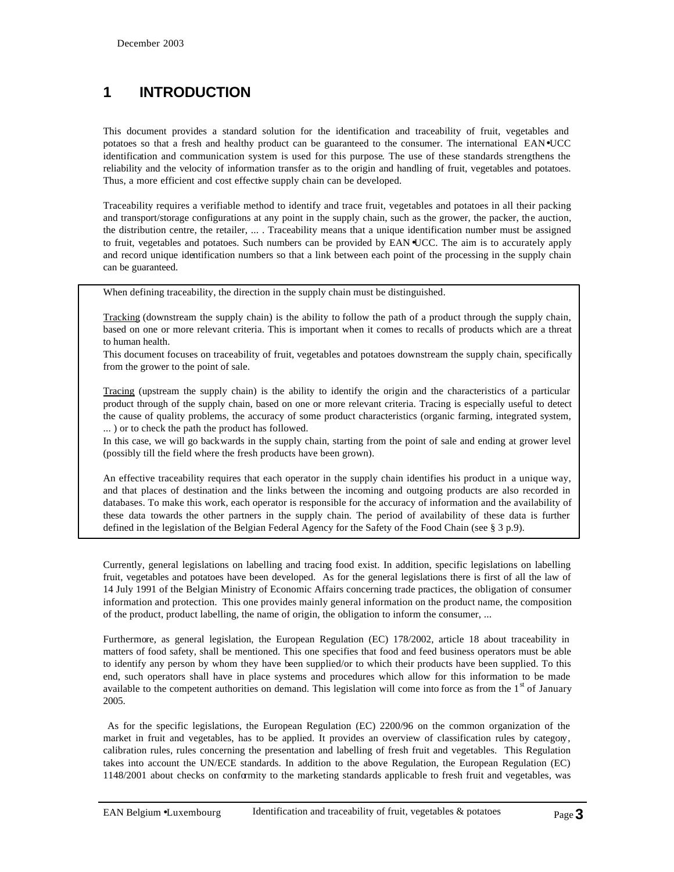# **1 INTRODUCTION**

This document provides a standard solution for the identification and traceability of fruit, vegetables and potatoes so that a fresh and healthy product can be guaranteed to the consumer. The international EAN•UCC identification and communication system is used for this purpose. The use of these standards strengthens the reliability and the velocity of information transfer as to the origin and handling of fruit, vegetables and potatoes. Thus, a more efficient and cost effective supply chain can be developed.

Traceability requires a verifiable method to identify and trace fruit, vegetables and potatoes in all their packing and transport/storage configurations at any point in the supply chain, such as the grower, the packer, the auction, the distribution centre, the retailer, ... . Traceability means that a unique identification number must be assigned to fruit, vegetables and potatoes. Such numbers can be provided by EAN<sup>•</sup>UCC. The aim is to accurately apply and record unique identification numbers so that a link between each point of the processing in the supply chain can be guaranteed.

When defining traceability, the direction in the supply chain must be distinguished.

Tracking (downstream the supply chain) is the ability to follow the path of a product through the supply chain, based on one or more relevant criteria. This is important when it comes to recalls of products which are a threat to human health.

This document focuses on traceability of fruit, vegetables and potatoes downstream the supply chain, specifically from the grower to the point of sale.

Tracing (upstream the supply chain) is the ability to identify the origin and the characteristics of a particular product through of the supply chain, based on one or more relevant criteria. Tracing is especially useful to detect the cause of quality problems, the accuracy of some product characteristics (organic farming, integrated system, ... ) or to check the path the product has followed.

In this case, we will go backwards in the supply chain, starting from the point of sale and ending at grower level (possibly till the field where the fresh products have been grown).

An effective traceability requires that each operator in the supply chain identifies his product in a unique way, and that places of destination and the links between the incoming and outgoing products are also recorded in databases. To make this work, each operator is responsible for the accuracy of information and the availability of these data towards the other partners in the supply chain. The period of availability of these data is further defined in the legislation of the Belgian Federal Agency for the Safety of the Food Chain (see § 3 p.9).

Currently, general legislations on labelling and tracing food exist. In addition, specific legislations on labelling fruit, vegetables and potatoes have been developed. As for the general legislations there is first of all the law of 14 July 1991 of the Belgian Ministry of Economic Affairs concerning trade practices, the obligation of consumer information and protection. This one provides mainly general information on the product name, the composition of the product, product labelling, the name of origin, the obligation to inform the consumer, ...

Furthermore, as general legislation, the European Regulation (EC) 178/2002, article 18 about traceability in matters of food safety, shall be mentioned. This one specifies that food and feed business operators must be able to identify any person by whom they have been supplied/or to which their products have been supplied. To this end, such operators shall have in place systems and procedures which allow for this information to be made available to the competent authorities on demand. This legislation will come into force as from the  $1<sup>st</sup>$  of January 2005.

 As for the specific legislations, the European Regulation (EC) 2200/96 on the common organization of the market in fruit and vegetables, has to be applied. It provides an overview of classification rules by category, calibration rules, rules concerning the presentation and labelling of fresh fruit and vegetables. This Regulation takes into account the UN/ECE standards. In addition to the above Regulation, the European Regulation (EC) 1148/2001 about checks on conformity to the marketing standards applicable to fresh fruit and vegetables, was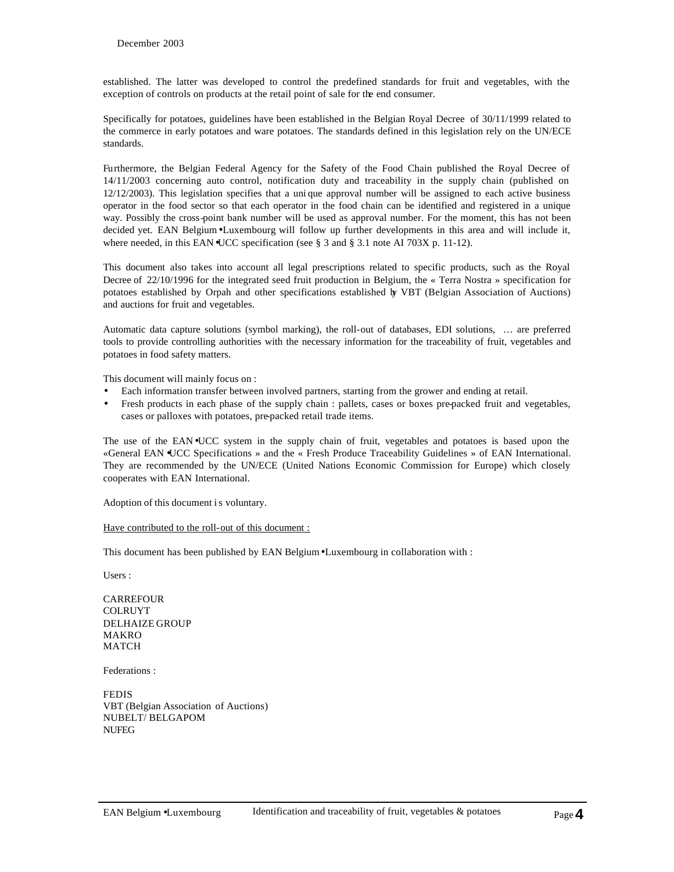established. The latter was developed to control the predefined standards for fruit and vegetables, with the exception of controls on products at the retail point of sale for the end consumer.

Specifically for potatoes, guidelines have been established in the Belgian Royal Decree of 30/11/1999 related to the commerce in early potatoes and ware potatoes. The standards defined in this legislation rely on the UN/ECE standards.

Furthermore, the Belgian Federal Agency for the Safety of the Food Chain published the Royal Decree of 14/11/2003 concerning auto control, notification duty and traceability in the supply chain (published on 12/12/2003). This legislation specifies that a uni que approval number will be assigned to each active business operator in the food sector so that each operator in the food chain can be identified and registered in a unique way. Possibly the cross-point bank number will be used as approval number. For the moment, this has not been decided yet. EAN Belgium•Luxembourg will follow up further developments in this area and will include it, where needed, in this EAN•UCC specification (see § 3 and § 3.1 note AI 703X p. 11-12).

This document also takes into account all legal prescriptions related to specific products, such as the Royal Decree of 22/10/1996 for the integrated seed fruit production in Belgium, the « Terra Nostra » specification for potatoes established by Orpah and other specifications established by VBT (Belgian Association of Auctions) and auctions for fruit and vegetables.

Automatic data capture solutions (symbol marking), the roll-out of databases, EDI solutions, … are preferred tools to provide controlling authorities with the necessary information for the traceability of fruit, vegetables and potatoes in food safety matters.

This document will mainly focus on :

- Each information transfer between involved partners, starting from the grower and ending at retail.
- Fresh products in each phase of the supply chain : pallets, cases or boxes pre-packed fruit and vegetables, cases or palloxes with potatoes, pre-packed retail trade items.

The use of the EAN•UCC system in the supply chain of fruit, vegetables and potatoes is based upon the «General EAN •UCC Specifications » and the « Fresh Produce Traceability Guidelines » of EAN International. They are recommended by the UN/ECE (United Nations Economic Commission for Europe) which closely cooperates with EAN International.

Adoption of this document is voluntary.

#### Have contributed to the roll-out of this document :

This document has been published by EAN Belgium•Luxembourg in collaboration with :

Users :

CARREFOUR COLRUYT DELHAIZE GROUP MAKRO **MATCH** 

Federations :

FEDIS VBT (Belgian Association of Auctions) NUBELT/ BELGAPOM NUFEG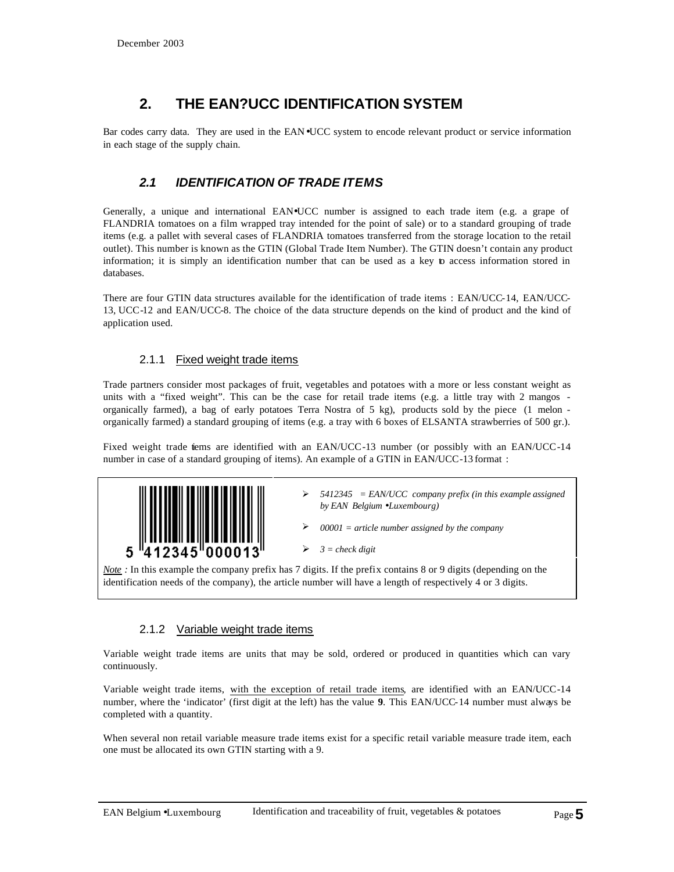# **2. THE EAN?UCC IDENTIFICATION SYSTEM**

Bar codes carry data. They are used in the EAN•UCC system to encode relevant product or service information in each stage of the supply chain.

# *2.1 IDENTIFICATION OF TRADE ITEMS*

Generally, a unique and international EAN•UCC number is assigned to each trade item (e.g. a grape of FLANDRIA tomatoes on a film wrapped tray intended for the point of sale) or to a standard grouping of trade items (e.g. a pallet with several cases of FLANDRIA tomatoes transferred from the storage location to the retail outlet). This number is known as the GTIN (Global Trade Item Number). The GTIN doesn't contain any product information; it is simply an identification number that can be used as a key to access information stored in databases.

There are four GTIN data structures available for the identification of trade items : EAN/UCC-14, EAN/UCC-13, UCC-12 and EAN/UCC-8. The choice of the data structure depends on the kind of product and the kind of application used.

#### 2.1.1 Fixed weight trade items

Trade partners consider most packages of fruit, vegetables and potatoes with a more or less constant weight as units with a "fixed weight". This can be the case for retail trade items (e.g. a little tray with 2 mangos organically farmed), a bag of early potatoes Terra Nostra of 5 kg), products sold by the piece (1 melon organically farmed) a standard grouping of items (e.g. a tray with 6 boxes of ELSANTA strawberries of 500 gr.).

Fixed weight trade iems are identified with an EAN/UCC-13 number (or possibly with an EAN/UCC-14 number in case of a standard grouping of items). An example of a GTIN in EAN/UCC-13 format :



ÿ *5412345 = EAN/UCC company prefix (in this example assigned by EAN Belgium ·Luxembourg)*

ÿ *00001 = article number assigned by the company*

ÿ *3 = check digit*

*Note :* In this example the company prefix has 7 digits. If the prefix contains 8 or 9 digits (depending on the identification needs of the company), the article number will have a length of respectively 4 or 3 digits.

#### 2.1.2 Variable weight trade items

Variable weight trade items are units that may be sold, ordered or produced in quantities which can vary continuously.

Variable weight trade items, with the exception of retail trade items, are identified with an EAN/UCC-14 number, where the 'indicator' (first digit at the left) has the value **9**. This EAN/UCC-14 number must always be completed with a quantity.

When several non retail variable measure trade items exist for a specific retail variable measure trade item, each one must be allocated its own GTIN starting with a 9.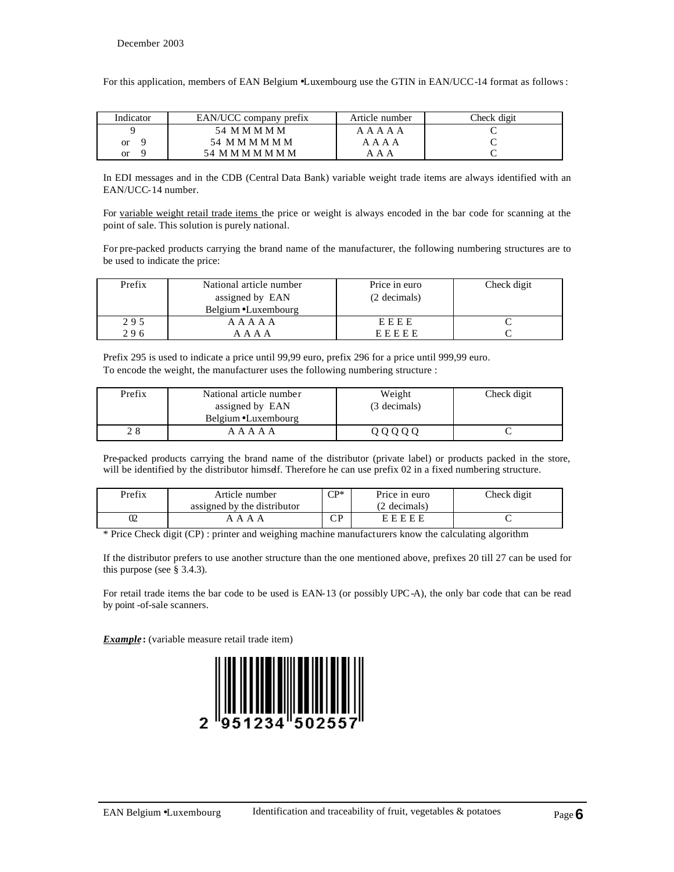For this application, members of EAN Belgium •Luxembourg use the GTIN in EAN/UCC-14 format as follows:

| Indicator | EAN/UCC company prefix | Article number | Check digit |
|-----------|------------------------|----------------|-------------|
|           | 54 M M M M M           | A A A A A      |             |
| or        | 54 M M M M M M         | A A A A        |             |
| or        | 54 M M M M M M M       | ААА            |             |

In EDI messages and in the CDB (Central Data Bank) variable weight trade items are always identified with an EAN/UCC-14 number.

For variable weight retail trade items the price or weight is always encoded in the bar code for scanning at the point of sale. This solution is purely national.

For pre-packed products carrying the brand name of the manufacturer, the following numbering structures are to be used to indicate the price:

| Prefix | National article number<br>assigned by EAN<br>Belgium • Luxembourg | Price in euro<br>(2 decimals) | Check digit |
|--------|--------------------------------------------------------------------|-------------------------------|-------------|
| 295    | A A A A A                                                          | EEEE                          |             |
| 296    | A A A A                                                            | EEEEE                         |             |

Prefix 295 is used to indicate a price until 99,99 euro, prefix 296 for a price until 999,99 euro. To encode the weight, the manufacturer uses the following numbering structure :

| Prefix | National article number | Weight       | Check digit |
|--------|-------------------------|--------------|-------------|
|        | assigned by EAN         | (3 decimals) |             |
|        | Belgium • Luxembourg    |              |             |
|        | A A A A A               | 00000        |             |

Pre-packed products carrying the brand name of the distributor (private label) or products packed in the store, will be identified by the distributor himself. Therefore he can use prefix 02 in a fixed numbering structure.

| Prefix | Article number<br>assigned by the distributor | $\cap$            | Price in euro<br>(2 decimals) | Check digit |
|--------|-----------------------------------------------|-------------------|-------------------------------|-------------|
|        | $\Delta$<br>$\Delta$                          | $\mathbf{D}$<br>◡ | EEEEE                         |             |

\* Price Check digit (CP) : printer and weighing machine manufacturers know the calculating algorithm

If the distributor prefers to use another structure than the one mentioned above, prefixes 20 till 27 can be used for this purpose (see § 3.4.3).

For retail trade items the bar code to be used is EAN-13 (or possibly UPC-A), the only bar code that can be read by point -of-sale scanners.

*Example*: (variable measure retail trade item)

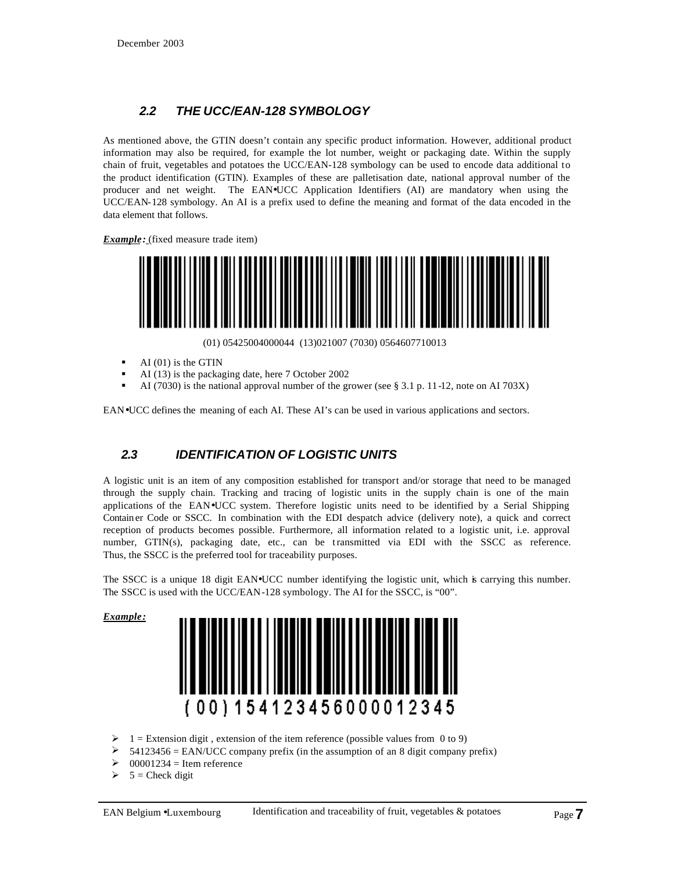# *2.2 THE UCC/EAN-128 SYMBOLOGY*

As mentioned above, the GTIN doesn't contain any specific product information. However, additional product information may also be required, for example the lot number, weight or packaging date. Within the supply chain of fruit, vegetables and potatoes the UCC/EAN-128 symbology can be used to encode data additional to the product identification (GTIN). Examples of these are palletisation date, national approval number of the producer and net weight. The EAN•UCC Application Identifiers (AI) are mandatory when using the UCC/EAN-128 symbology. An AI is a prefix used to define the meaning and format of the data encoded in the data element that follows.

*Example:* (fixed measure trade item)



(01) 05425004000044 (13)021007 (7030) 0564607710013

- $\blacksquare$  AI (01) is the GTIN
- AI (13) is the packaging date, here 7 October 2002
- ß AI (7030) is the national approval number of the grower (see § 3.1 p. 11-12, note on AI 703X)

EAN•UCC defines the meaning of each AI. These AI's can be used in various applications and sectors.

# *2.3 IDENTIFICATION OF LOGISTIC UNITS*

A logistic unit is an item of any composition established for transport and/or storage that need to be managed through the supply chain. Tracking and tracing of logistic units in the supply chain is one of the main applications of the EAN•UCC system. Therefore logistic units need to be identified by a Serial Shipping Contain er Code or SSCC. In combination with the EDI despatch advice (delivery note), a quick and correct reception of products becomes possible. Furthermore, all information related to a logistic unit, i.e. approval number, GTIN(s), packaging date, etc., can be transmitted via EDI with the SSCC as reference. Thus, the SSCC is the preferred tool for traceability purposes.

The SSCC is a unique 18 digit EAN•UCC number identifying the logistic unit, which is carrying this number. The SSCC is used with the UCC/EAN-128 symbology. The AI for the SSCC, is "00".

*Example:* 



- $\geq 1$  = Extension digit, extension of the item reference (possible values from 0 to 9)
- ÿ 54123456 = EAN/UCC company prefix (in the assumption of an 8 digit company prefix)
- $00001234$  = Item reference
- $5$  = Check digit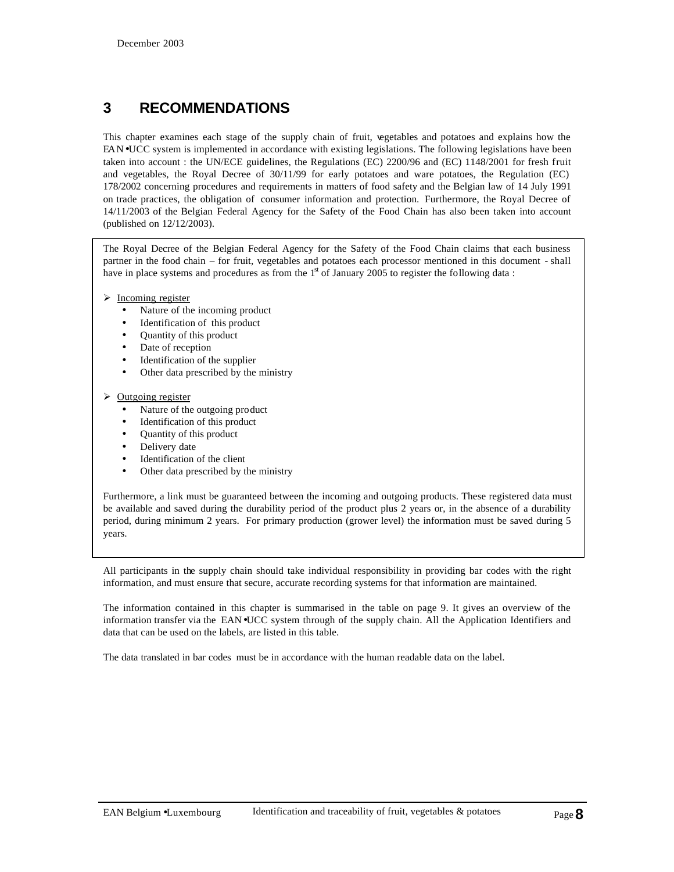# **3 RECOMMENDATIONS**

This chapter examines each stage of the supply chain of fruit, vegetables and potatoes and explains how the EAN•UCC system is implemented in accordance with existing legislations. The following legislations have been taken into account : the UN/ECE guidelines, the Regulations (EC) 2200/96 and (EC) 1148/2001 for fresh fruit and vegetables, the Royal Decree of 30/11/99 for early potatoes and ware potatoes, the Regulation (EC) 178/2002 concerning procedures and requirements in matters of food safety and the Belgian law of 14 July 1991 on trade practices, the obligation of consumer information and protection. Furthermore, the Royal Decree of 14/11/2003 of the Belgian Federal Agency for the Safety of the Food Chain has also been taken into account (published on 12/12/2003).

The Royal Decree of the Belgian Federal Agency for the Safety of the Food Chain claims that each business partner in the food chain – for fruit, vegetables and potatoes each processor mentioned in this document - shall have in place systems and procedures as from the  $1<sup>st</sup>$  of January 2005 to register the following data :

 $\triangleright$  Incoming register

- Nature of the incoming product
- Identification of this product
- Quantity of this product
- Date of reception
- Identification of the supplier
- Other data prescribed by the ministry

#### $\triangleright$  Outgoing register

- Nature of the outgoing product
- Identification of this product
- Quantity of this product
- Delivery date
- Identification of the client
- Other data prescribed by the ministry

Furthermore, a link must be guaranteed between the incoming and outgoing products. These registered data must be available and saved during the durability period of the product plus 2 years or, in the absence of a durability period, during minimum 2 years. For primary production (grower level) the information must be saved during 5 years.

All participants in the supply chain should take individual responsibility in providing bar codes with the right information, and must ensure that secure, accurate recording systems for that information are maintained.

The information contained in this chapter is summarised in the table on page 9. It gives an overview of the information transfer via the EAN•UCC system through of the supply chain. All the Application Identifiers and data that can be used on the labels, are listed in this table.

The data translated in bar codes must be in accordance with the human readable data on the label.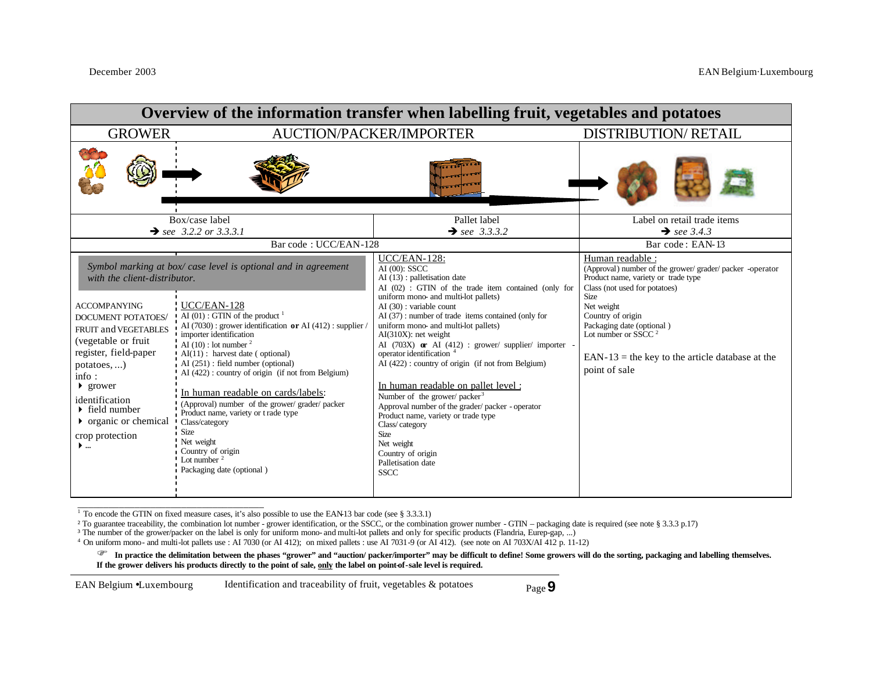| Overview of the information transfer when labelling fruit, vegetables and potatoes                                                                                                                                                                                                                                                                                                                                                                                                                                                                                                                                                                                                                                                                                                                                                                                                                                                                                                                  |                                                                                                                                                                                                                                                                                                                                                                                                                                                                                                                                                                                                                                                                                                                                                                 |                                                                                                                                                                                                                                                                                                                                           |  |  |
|-----------------------------------------------------------------------------------------------------------------------------------------------------------------------------------------------------------------------------------------------------------------------------------------------------------------------------------------------------------------------------------------------------------------------------------------------------------------------------------------------------------------------------------------------------------------------------------------------------------------------------------------------------------------------------------------------------------------------------------------------------------------------------------------------------------------------------------------------------------------------------------------------------------------------------------------------------------------------------------------------------|-----------------------------------------------------------------------------------------------------------------------------------------------------------------------------------------------------------------------------------------------------------------------------------------------------------------------------------------------------------------------------------------------------------------------------------------------------------------------------------------------------------------------------------------------------------------------------------------------------------------------------------------------------------------------------------------------------------------------------------------------------------------|-------------------------------------------------------------------------------------------------------------------------------------------------------------------------------------------------------------------------------------------------------------------------------------------------------------------------------------------|--|--|
| <b>GROWER</b>                                                                                                                                                                                                                                                                                                                                                                                                                                                                                                                                                                                                                                                                                                                                                                                                                                                                                                                                                                                       | AUCTION/PACKER/IMPORTER                                                                                                                                                                                                                                                                                                                                                                                                                                                                                                                                                                                                                                                                                                                                         | <b>DISTRIBUTION/ RETAIL</b>                                                                                                                                                                                                                                                                                                               |  |  |
|                                                                                                                                                                                                                                                                                                                                                                                                                                                                                                                                                                                                                                                                                                                                                                                                                                                                                                                                                                                                     |                                                                                                                                                                                                                                                                                                                                                                                                                                                                                                                                                                                                                                                                                                                                                                 |                                                                                                                                                                                                                                                                                                                                           |  |  |
| Box/case label                                                                                                                                                                                                                                                                                                                                                                                                                                                                                                                                                                                                                                                                                                                                                                                                                                                                                                                                                                                      | Pallet label                                                                                                                                                                                                                                                                                                                                                                                                                                                                                                                                                                                                                                                                                                                                                    | Label on retail trade items                                                                                                                                                                                                                                                                                                               |  |  |
| $\rightarrow$ see 3.2.2 or 3.3.3.1<br>Bar code: UCC/EAN-128                                                                                                                                                                                                                                                                                                                                                                                                                                                                                                                                                                                                                                                                                                                                                                                                                                                                                                                                         | $\rightarrow$ see 3.3.3.2                                                                                                                                                                                                                                                                                                                                                                                                                                                                                                                                                                                                                                                                                                                                       | $\rightarrow$ see 3.4.3<br>Bar code: EAN-13                                                                                                                                                                                                                                                                                               |  |  |
| Symbol marking at box/case level is optional and in agreement<br>with the client-distributor.<br>! UCC/EAN-128<br><b>ACCOMPANYING</b><br>$\mathbf{A}$ (01) : GTIN of the product $^1$<br><b>DOCUMENT POTATOES/</b><br>$AI(7030)$ : grower identification or AI $(412)$ : supplier /<br>FRUIT and VEGETABLES<br>importer identification<br>(vegetable or fruit)<br>AI (10) : lot number $2$<br>register, field-paper<br>$AI(11)$ : harvest date (optional)<br>$AI(251)$ : field number (optional)<br>$potatoes$ ,)<br>AI (422): country of origin (if not from Belgium)<br>info:<br>$\blacktriangleright$ grower<br>In human readable on cards/labels:<br>identification<br>(Approval) number of the grower/ grader/ packer<br>$\triangleright$ field number<br>Product name, variety or t rade type<br>$\triangleright$ organic or chemical<br>Class/category<br>Size<br>crop protection<br>Net weight<br>$\blacktriangleright$<br>Country of origin<br>Lot number $2$<br>Packaging date (optional) | UCC/EAN-128:<br>AI (00): SSCC<br>AI (13) : palletisation date<br>AI (02) : GTIN of the trade item contained (only for<br>uniform mono- and multi-lot pallets)<br>$AI(30)$ : variable count<br>AI (37): number of trade items contained (only for<br>uniform mono- and multi-lot pallets)<br>$AI(310X)$ : net weight<br>AI (703X) or AI (412) : grower/ supplier/ importer -<br>operator identification <sup>4</sup><br>AI (422): country of origin (if not from Belgium)<br>In human readable on pallet level :<br>Number of the grower/ packer <sup>3</sup><br>Approval number of the grader/packer - operator<br>Product name, variety or trade type<br>Class/category<br><b>Size</b><br>Net weight<br>Country of origin<br>Palletisation date<br><b>SSCC</b> | Human readable :<br>(Approval) number of the grower/grader/packer -operator<br>Product name, variety or trade type<br>Class (not used for potatoes)<br><b>Size</b><br>Net weight<br>Country of origin<br>Packaging date (optional)<br>Lot number or SSCC <sup>2</sup><br>EAN-13 = the key to the article database at the<br>point of sale |  |  |

The encode the GTIN on fixed measure cases, it's also possible to use the EAN-13 bar code (see § 3.3.3.1)

<sup>2</sup> To guarantee traceability, the combination lot number - grower identification, or the SSCC, or the combination grower number - GTIN – packaging date is required (see note § 3.3.3 p.17)

<sup>3</sup> The number of the grower/packer on the label is only for uniform mono- and multi-lot pallets and only for specific products (Flandria, Eurep-gap, ...)

4 On uniform mono- and multi-lot pallets use : AI 7030 (or AI 412); on mixed pallets : use AI 7031-9 (or AI 412). (see note on AI 703X/AI 412 p. 11-12)

F **In practice the delimitation between the phases "grower" and "auction/ packer/importer" may be difficult to define! Some growers will do the sorting, packaging and labelling themselves. If the grower delivers his products directly to the point of sale, only the label on point-of-sale level is required.**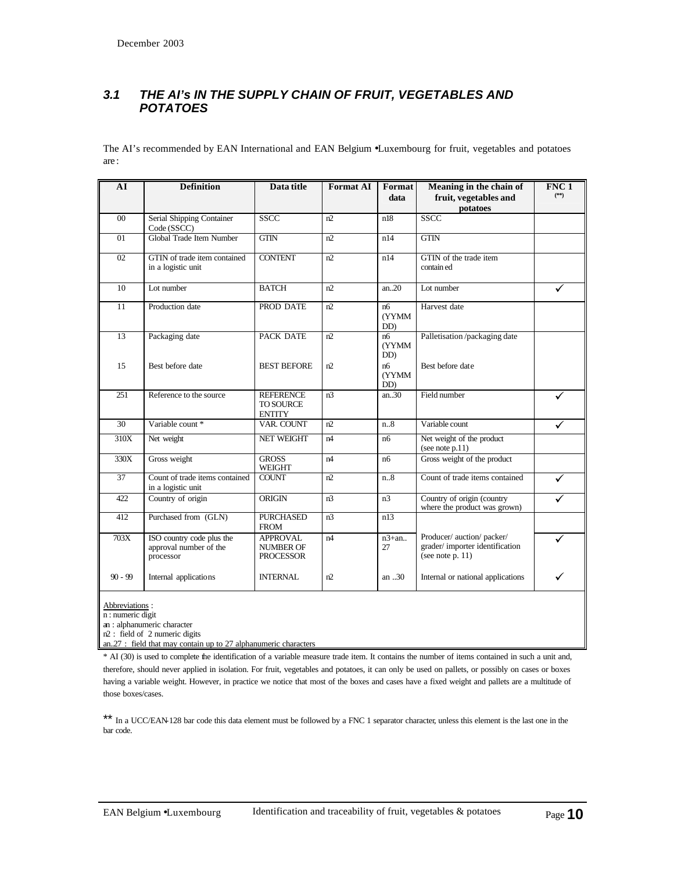## *3.1 THE AI's IN THE SUPPLY CHAIN OF FRUIT, VEGETABLES AND POTATOES*

The AI's recommended by EAN International and EAN Belgium •Luxembourg for fruit, vegetables and potatoes are :

| ${\bf AI}$      | <b>Definition</b>                                                | Data title                                              | <b>Format AI</b> | Format<br>data             | Meaning in the chain of<br>fruit, vegetables and<br>potatoes                        | FNC <sub>1</sub><br>$(^{**})$ |
|-----------------|------------------------------------------------------------------|---------------------------------------------------------|------------------|----------------------------|-------------------------------------------------------------------------------------|-------------------------------|
| 00 <sup>1</sup> | Serial Shipping Container<br>Code (SSCC)                         | <b>SSCC</b>                                             | n2               | n18                        | <b>SSCC</b>                                                                         |                               |
| 01              | Global Trade Item Number                                         | <b>GTIN</b>                                             | n2               | n14                        | GTN                                                                                 |                               |
| 02              | GTIN of trade item contained<br>in a logistic unit               | <b>CONTENT</b>                                          | n2               | n14                        | GTIN of the trade item<br>contain ed                                                |                               |
| 10              | Lot number                                                       | <b>BATCH</b>                                            | n2               | an.20                      | Lot number                                                                          | ✓                             |
| 11              | Production date                                                  | PROD DATE                                               | n2               | n6<br><b>(YYMM)</b><br>DD) | Harvest date                                                                        |                               |
| 13              | Packaging date                                                   | PACK DATE                                               | n2               | nб<br><b>(YYMM)</b><br>DD) | Palletisation/packaging date                                                        |                               |
| 15              | Best before date                                                 | <b>BEST BEFORE</b>                                      | n2               | nб<br><b>(YYMM)</b><br>DD) | Best before date                                                                    |                               |
| 251             | Reference to the source                                          | <b>REFERENCE</b><br><b>TO SOURCE</b><br><b>ENTITY</b>   | n <sub>3</sub>   | an.30                      | Field number                                                                        | ✓                             |
| 30              | Variable count *                                                 | <b>VAR. COUNT</b>                                       | n2               | n.8                        | Variable count                                                                      | ✓                             |
| 310X            | Net weight                                                       | <b>NET WEIGHT</b>                                       | n4               | n6                         | Net weight of the product<br>(see note p.11)                                        |                               |
| 330X            | Gross weight                                                     | <b>GROSS</b><br><b>WEIGHT</b>                           | n4               | n6                         | Gross weight of the product                                                         |                               |
| 37              | Count of trade items contained<br>in a logistic unit             | <b>COUNT</b>                                            | n2               | n.8                        | Count of trade items contained                                                      | ✓                             |
| 422             | Country of origin                                                | ORIGIN                                                  | n <sup>3</sup>   | n <sub>3</sub>             | Country of origin (country<br>where the product was grown)                          | ✓                             |
| 412             | Purchased from (GLN)                                             | <b>PURCHASED</b><br><b>FROM</b>                         | n3               | n13                        |                                                                                     |                               |
| 703X            | ISO country code plus the<br>approval number of the<br>processor | <b>APPROVAL</b><br><b>NUMBER OF</b><br><b>PROCESSOR</b> | n4               | $n3+an.$<br>27             | Producer/ auction/ packer/<br>grader/importer identification<br>(see note $p. 11$ ) | ✓                             |
| $90 - 99$       | Internal applications                                            | <b>INTERNAL</b>                                         | n2               | an $.30$                   | Internal or national applications                                                   | ✓                             |

Abbreviations :

n : numeric digit

an : alphanumeric character

n2 : field of 2 numeric digits an..27 : field that may contain up to 27 alphanumeric characters

\* AI (30) is used to complete the identification of a variable measure trade item. It contains the number of items contained in such a unit and, therefore, should never applied in isolation. For fruit, vegetables and potatoes, it can only be used on pallets, or possibly on cases or boxes having a variable weight. However, in practice we notice that most of the boxes and cases have a fixed weight and pallets are a multitude of those boxes/cases.

\*\* In a UCC/EAN-128 bar code this data element must be followed by a FNC 1 separator character, unless this element is the last one in the bar code.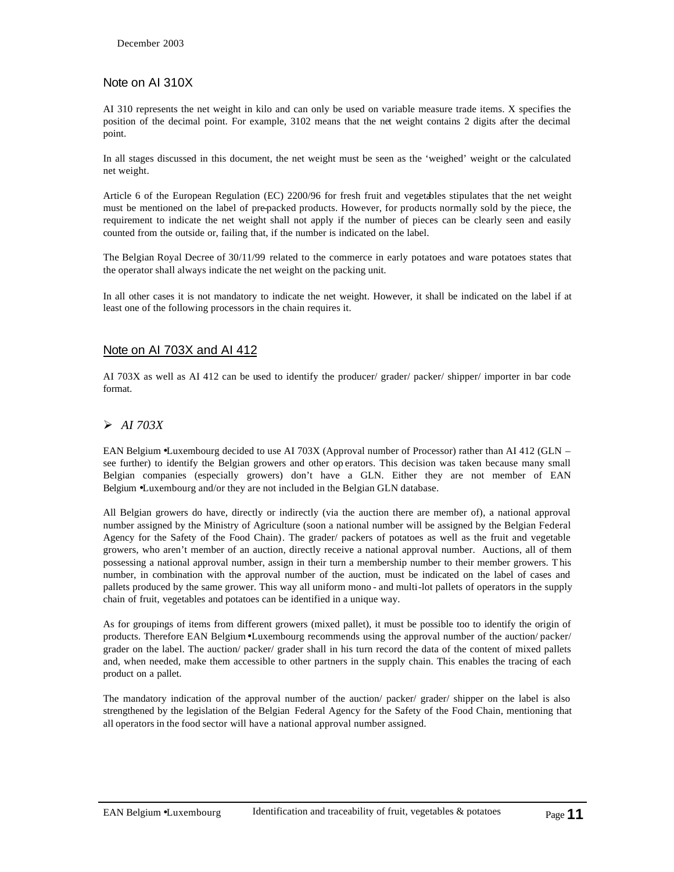#### Note on AI 310X

AI 310 represents the net weight in kilo and can only be used on variable measure trade items. X specifies the position of the decimal point. For example, 3102 means that the net weight contains 2 digits after the decimal point.

In all stages discussed in this document, the net weight must be seen as the 'weighed' weight or the calculated net weight.

Article 6 of the European Regulation (EC) 2200/96 for fresh fruit and vegetables stipulates that the net weight must be mentioned on the label of pre-packed products. However, for products normally sold by the piece, the requirement to indicate the net weight shall not apply if the number of pieces can be clearly seen and easily counted from the outside or, failing that, if the number is indicated on the label.

The Belgian Royal Decree of 30/11/99 related to the commerce in early potatoes and ware potatoes states that the operator shall always indicate the net weight on the packing unit.

In all other cases it is not mandatory to indicate the net weight. However, it shall be indicated on the label if at least one of the following processors in the chain requires it.

#### Note on AI 703X and AI 412

AI 703X as well as AI 412 can be used to identify the producer/ grader/ packer/ shipper/ importer in bar code format.

#### ÿ *AI 703X*

EAN Belgium •Luxembourg decided to use AI 703X (Approval number of Processor) rather than AI 412 (GLN – see further) to identify the Belgian growers and other op erators. This decision was taken because many small Belgian companies (especially growers) don't have a GLN. Either they are not member of EAN Belgium •Luxembourg and/or they are not included in the Belgian GLN database.

All Belgian growers do have, directly or indirectly (via the auction there are member of), a national approval number assigned by the Ministry of Agriculture (soon a national number will be assigned by the Belgian Federal Agency for the Safety of the Food Chain). The grader/ packers of potatoes as well as the fruit and vegetable growers, who aren't member of an auction, directly receive a national approval number. Auctions, all of them possessing a national approval number, assign in their turn a membership number to their member growers. T his number, in combination with the approval number of the auction, must be indicated on the label of cases and pallets produced by the same grower. This way all uniform mono - and multi-lot pallets of operators in the supply chain of fruit, vegetables and potatoes can be identified in a unique way.

As for groupings of items from different growers (mixed pallet), it must be possible too to identify the origin of products. Therefore EAN Belgium•Luxembourg recommends using the approval number of the auction/ packer/ grader on the label. The auction/ packer/ grader shall in his turn record the data of the content of mixed pallets and, when needed, make them accessible to other partners in the supply chain. This enables the tracing of each product on a pallet.

The mandatory indication of the approval number of the auction/ packer/ grader/ shipper on the label is also strengthened by the legislation of the Belgian Federal Agency for the Safety of the Food Chain, mentioning that all operators in the food sector will have a national approval number assigned.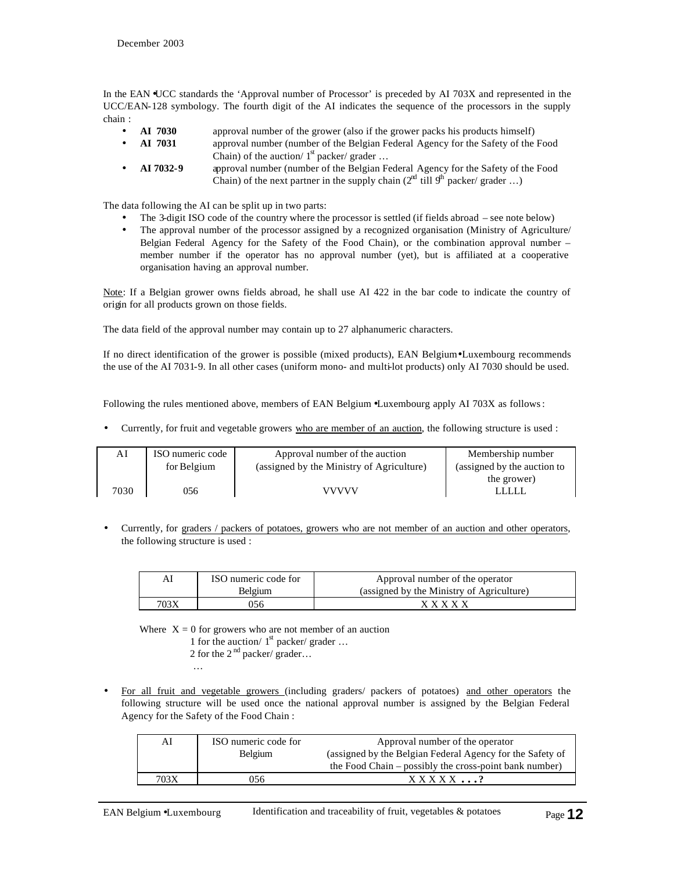In the EAN •UCC standards the 'Approval number of Processor' is preceded by AI 703X and represented in the UCC/EAN-128 symbology. The fourth digit of the AI indicates the sequence of the processors in the supply chain :

- **AI 7030** approval number of the grower (also if the grower packs his products himself)
- **AI 7031** approval number (number of the Belgian Federal Agency for the Safety of the Food Chain) of the auction/  $1<sup>st</sup>$  packer/ grader ...
- **AI 7032-9** approval number (number of the Belgian Federal Agency for the Safety of the Food Chain) of the next partner in the supply chain  $(2^{nt}$  till  $9<sup>th</sup>$  packer/ grader ...)

The data following the AI can be split up in two parts:

- The 3-digit ISO code of the country where the processor is settled (if fields abroad see note below)
- The approval number of the processor assigned by a recognized organisation (Ministry of Agriculture/ Belgian Federal Agency for the Safety of the Food Chain), or the combination approval number – member number if the operator has no approval number (yet), but is affiliated at a cooperative organisation having an approval number.

Note: If a Belgian grower owns fields abroad, he shall use AI 422 in the bar code to indicate the country of origin for all products grown on those fields.

The data field of the approval number may contain up to 27 alphanumeric characters.

If no direct identification of the grower is possible (mixed products), EAN Belgium•Luxembourg recommends the use of the AI 7031-9. In all other cases (uniform mono- and multi-lot products) only AI 7030 should be used.

Following the rules mentioned above, members of EAN Belgium •Luxembourg apply AI 703X as follows:

• Currently, for fruit and vegetable growers who are member of an auction, the following structure is used :

| AI   | ISO numeric code | Approval number of the auction            | Membership number           |
|------|------------------|-------------------------------------------|-----------------------------|
|      | for Belgium      | (assigned by the Ministry of Agriculture) | (assigned by the auction to |
|      |                  |                                           | the grower)                 |
| 7030 | 056              | <b>VVVVV</b>                              | TITI                        |

• Currently, for graders / packers of potatoes, growers who are not member of an auction and other operators, the following structure is used :

| ΑI   | ISO numeric code for | Approval number of the operator           |
|------|----------------------|-------------------------------------------|
|      | Belgium              | (assigned by the Ministry of Agriculture) |
| 703X | )56                  | <b>x x x x x</b>                          |

Where  $X = 0$  for growers who are not member of an auction

- 1 for the auction/  $1<sup>st</sup>$  packer/ grader ...
	- 2 for the  $2<sup>nd</sup>$  packer/ grader...
		-
- For all fruit and vegetable growers (including graders/ packers of potatoes) and other operators the following structure will be used once the national approval number is assigned by the Belgian Federal Agency for the Safety of the Food Chain :

| AI   | ISO numeric code for<br><b>Belgium</b> | Approval number of the operator<br>(assigned by the Belgian Federal Agency for the Safety of<br>the Food Chain – possibly the cross-point bank number) |
|------|----------------------------------------|--------------------------------------------------------------------------------------------------------------------------------------------------------|
| 703X | 056                                    | $XXXXX$ ?                                                                                                                                              |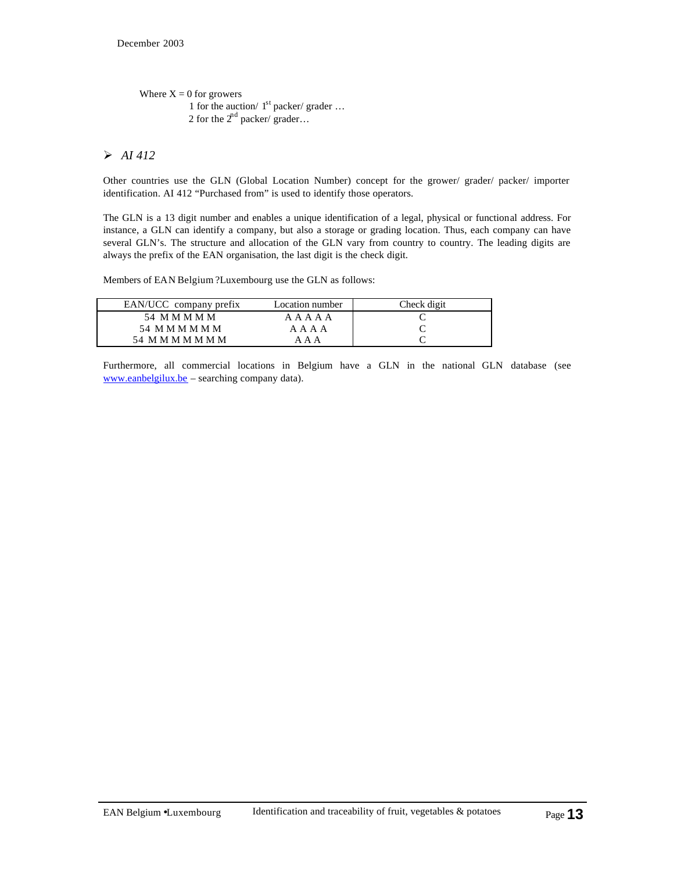```
Where X = 0 for growers
1 for the auction/ 1<sup>st</sup> packer/ grader ...
             2 for the 2<sup>nd</sup> packer/ grader...
```
## ÿ *AI 412*

Other countries use the GLN (Global Location Number) concept for the grower/ grader/ packer/ importer identification. AI 412 "Purchased from" is used to identify those operators.

The GLN is a 13 digit number and enables a unique identification of a legal, physical or functional address. For instance, a GLN can identify a company, but also a storage or grading location. Thus, each company can have several GLN's. The structure and allocation of the GLN vary from country to country. The leading digits are always the prefix of the EAN organisation, the last digit is the check digit.

Members of EAN Belgium ?Luxembourg use the GLN as follows:

| EAN/UCC company prefix | Location number | Check digit |
|------------------------|-----------------|-------------|
| 54 M M M M M           | A A A A A       |             |
| 54 M M M M M M         | A A A A         |             |
| 54 M M M M M M M       | ΔΔ              |             |
|                        |                 |             |

Furthermore, all commercial locations in Belgium have a GLN in the national GLN database (see www.eanbelgilux.be – searching company data).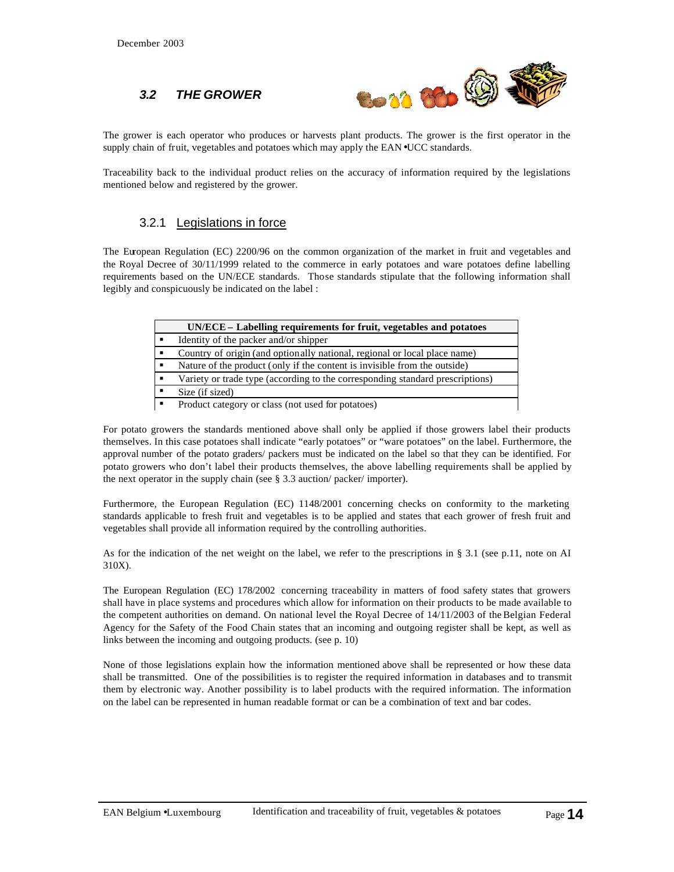#### *3.2 THE GROWER*



The grower is each operator who produces or harvests plant products. The grower is the first operator in the supply chain of fruit, vegetables and potatoes which may apply the EAN•UCC standards.

Traceability back to the individual product relies on the accuracy of information required by the legislations mentioned below and registered by the grower.

#### 3.2.1 Legislations in force

The European Regulation (EC) 2200/96 on the common organization of the market in fruit and vegetables and the Royal Decree of 30/11/1999 related to the commerce in early potatoes and ware potatoes define labelling requirements based on the UN/ECE standards. Those standards stipulate that the following information shall legibly and conspicuously be indicated on the label :

| UN/ECE – Labelling requirements for fruit, vegetables and potatoes            |
|-------------------------------------------------------------------------------|
| Identity of the packer and/or shipper                                         |
| Country of origin (and optionally national, regional or local place name)     |
| Nature of the product (only if the content is invisible from the outside)     |
| Variety or trade type (according to the corresponding standard prescriptions) |
| Size (if sized)                                                               |
| Product category or class (not used for potatoes)                             |

For potato growers the standards mentioned above shall only be applied if those growers label their products themselves. In this case potatoes shall indicate "early potatoes" or "ware potatoes" on the label. Furthermore, the approval number of the potato graders/ packers must be indicated on the label so that they can be identified. For potato growers who don't label their products themselves, the above labelling requirements shall be applied by the next operator in the supply chain (see § 3.3 auction/ packer/ importer).

Furthermore, the European Regulation (EC) 1148/2001 concerning checks on conformity to the marketing standards applicable to fresh fruit and vegetables is to be applied and states that each grower of fresh fruit and vegetables shall provide all information required by the controlling authorities.

As for the indication of the net weight on the label, we refer to the prescriptions in § 3.1 (see p.11, note on AI 310X).

The European Regulation (EC) 178/2002 concerning traceability in matters of food safety states that growers shall have in place systems and procedures which allow for information on their products to be made available to the competent authorities on demand. On national level the Royal Decree of 14/11/2003 of the Belgian Federal Agency for the Safety of the Food Chain states that an incoming and outgoing register shall be kept, as well as links between the incoming and outgoing products. (see p. 10)

None of those legislations explain how the information mentioned above shall be represented or how these data shall be transmitted. One of the possibilities is to register the required information in databases and to transmit them by electronic way. Another possibility is to label products with the required information. The information on the label can be represented in human readable format or can be a combination of text and bar codes.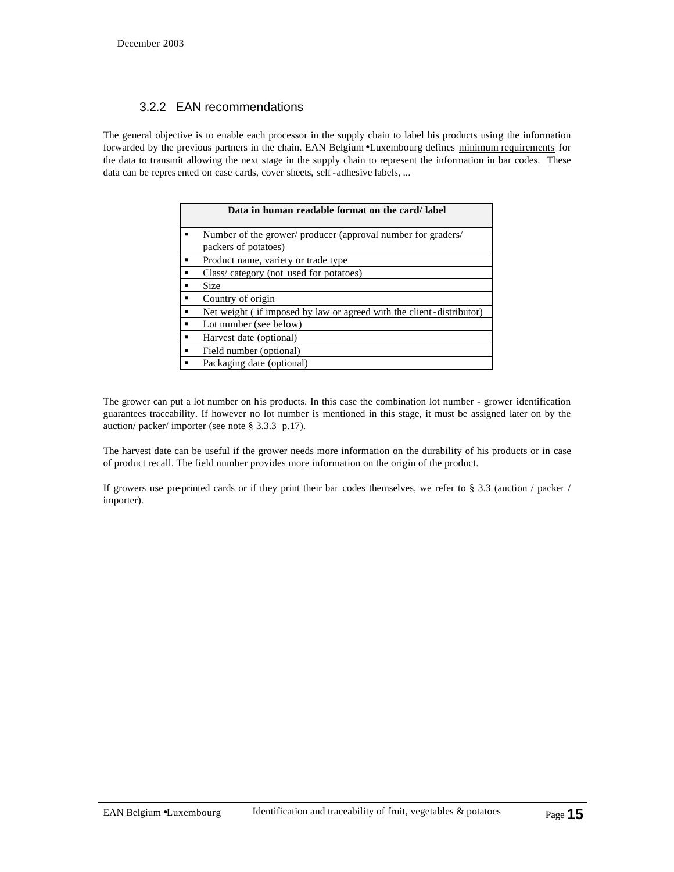#### 3.2.2 EAN recommendations

The general objective is to enable each processor in the supply chain to label his products using the information forwarded by the previous partners in the chain. EAN Belgium•Luxembourg defines minimum requirements for the data to transmit allowing the next stage in the supply chain to represent the information in bar codes. These data can be repres ented on case cards, cover sheets, self-adhesive labels, ...

| Data in human readable format on the card/label                                      |
|--------------------------------------------------------------------------------------|
| Number of the grower/ producer (approval number for graders/<br>packers of potatoes) |
| Product name, variety or trade type                                                  |
| Class/category (not used for potatoes)                                               |
| <b>Size</b>                                                                          |
| Country of origin                                                                    |
| Net weight (if imposed by law or agreed with the client-distributor)                 |
| Lot number (see below)                                                               |
| Harvest date (optional)                                                              |
| Field number (optional)                                                              |
| Packaging date (optional)                                                            |

The grower can put a lot number on his products. In this case the combination lot number - grower identification guarantees traceability. If however no lot number is mentioned in this stage, it must be assigned later on by the auction/ packer/ importer (see note § 3.3.3 p.17).

The harvest date can be useful if the grower needs more information on the durability of his products or in case of product recall. The field number provides more information on the origin of the product.

If growers use pre-printed cards or if they print their bar codes themselves, we refer to § 3.3 (auction / packer / importer).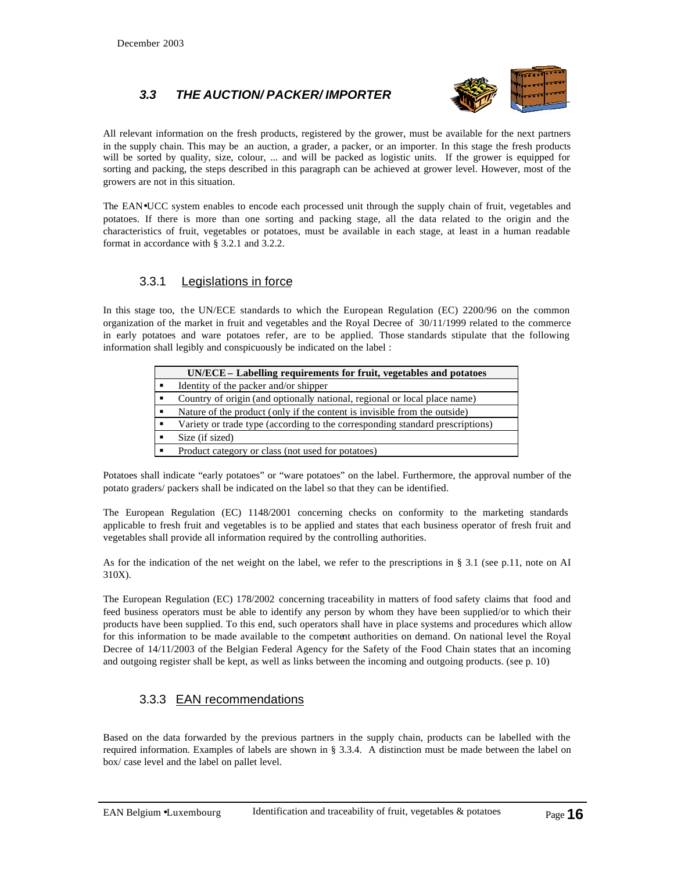# *3.3 THE AUCTION/ PACKER/ IMPORTER*



All relevant information on the fresh products, registered by the grower, must be available for the next partners in the supply chain. This may be an auction, a grader, a packer, or an importer. In this stage the fresh products will be sorted by quality, size, colour, ... and will be packed as logistic units. If the grower is equipped for sorting and packing, the steps described in this paragraph can be achieved at grower level. However, most of the growers are not in this situation.

The EAN•UCC system enables to encode each processed unit through the supply chain of fruit, vegetables and potatoes. If there is more than one sorting and packing stage, all the data related to the origin and the characteristics of fruit, vegetables or potatoes, must be available in each stage, at least in a human readable format in accordance with § 3.2.1 and 3.2.2.

#### 3.3.1 Legislations in force

In this stage too, the UN/ECE standards to which the European Regulation (EC) 2200/96 on the common organization of the market in fruit and vegetables and the Royal Decree of 30/11/1999 related to the commerce in early potatoes and ware potatoes refer, are to be applied. Those standards stipulate that the following information shall legibly and conspicuously be indicated on the label :

| UN/ECE – Labelling requirements for fruit, vegetables and potatoes            |
|-------------------------------------------------------------------------------|
| Identity of the packer and/or shipper                                         |
| Country of origin (and optionally national, regional or local place name)     |
| Nature of the product (only if the content is invisible from the outside)     |
| Variety or trade type (according to the corresponding standard prescriptions) |
| Size (if sized)                                                               |
| Product category or class (not used for potatoes)                             |

Potatoes shall indicate "early potatoes" or "ware potatoes" on the label. Furthermore, the approval number of the potato graders/ packers shall be indicated on the label so that they can be identified.

The European Regulation (EC) 1148/2001 concerning checks on conformity to the marketing standards applicable to fresh fruit and vegetables is to be applied and states that each business operator of fresh fruit and vegetables shall provide all information required by the controlling authorities.

As for the indication of the net weight on the label, we refer to the prescriptions in § 3.1 (see p.11, note on AI 310X).

The European Regulation (EC) 178/2002 concerning traceability in matters of food safety claims that food and feed business operators must be able to identify any person by whom they have been supplied/or to which their products have been supplied. To this end, such operators shall have in place systems and procedures which allow for this information to be made available to the competent authorities on demand. On national level the Royal Decree of 14/11/2003 of the Belgian Federal Agency for the Safety of the Food Chain states that an incoming and outgoing register shall be kept, as well as links between the incoming and outgoing products. (see p. 10)

#### 3.3.3 EAN recommendations

Based on the data forwarded by the previous partners in the supply chain, products can be labelled with the required information. Examples of labels are shown in § 3.3.4. A distinction must be made between the label on box/ case level and the label on pallet level.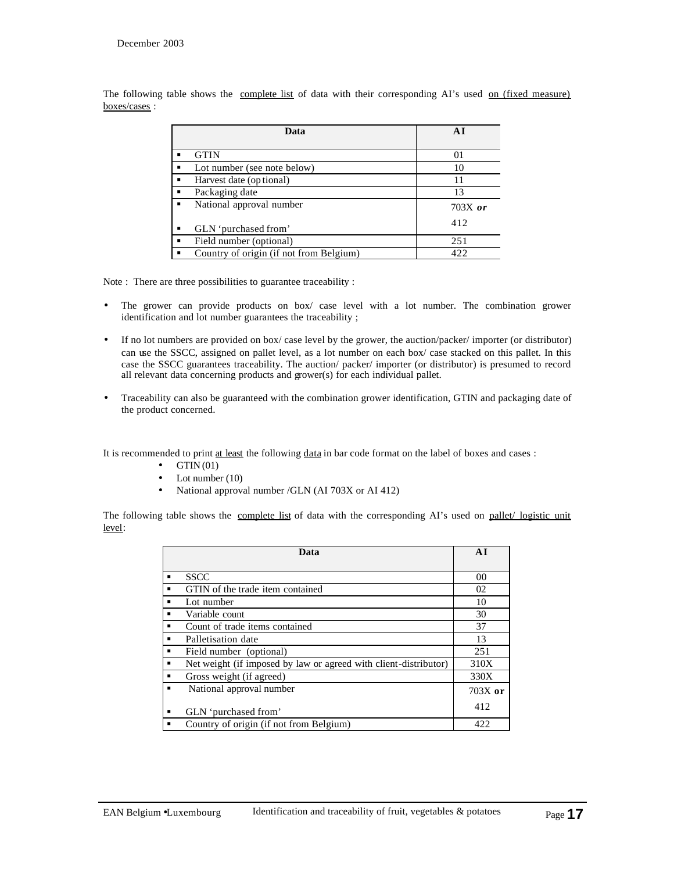| Data                                    |           |
|-----------------------------------------|-----------|
|                                         |           |
| <b>GTIN</b>                             | 01        |
| Lot number (see note below)             | 10        |
| Harvest date (op tional)                |           |
| Packaging date                          | 13        |
| National approval number                | $703X$ or |
| GLN 'purchased from'                    | 412       |
| Field number (optional)                 | 251       |
| Country of origin (if not from Belgium) | 422       |

The following table shows the complete list of data with their corresponding AI's used on (fixed measure) boxes/cases :

Note : There are three possibilities to guarantee traceability :

- The grower can provide products on box/ case level with a lot number. The combination grower identification and lot number guarantees the traceability ;
- If no lot numbers are provided on box/ case level by the grower, the auction/packer/ importer (or distributor) can use the SSCC, assigned on pallet level, as a lot number on each box/ case stacked on this pallet. In this case the SSCC guarantees traceability. The auction/ packer/ importer (or distributor) is presumed to record all relevant data concerning products and grower(s) for each individual pallet.
- Traceability can also be guaranteed with the combination grower identification, GTIN and packaging date of the product concerned.

It is recommended to print at least the following data in bar code format on the label of boxes and cases :

- $\bullet$  GTIN (01)
- Lot number (10)
- National approval number /GLN (AI 703X or AI 412)

The following table shows the complete list of data with the corresponding AI's used on pallet/ logistic unit level:

|   | Data                                                             | AI        |
|---|------------------------------------------------------------------|-----------|
|   |                                                                  |           |
|   | <b>SSCC</b>                                                      | 00        |
|   | GTIN of the trade item contained                                 | 02        |
|   | Lot number                                                       | 10        |
|   | Variable count                                                   | 30        |
|   | Count of trade items contained                                   | 37        |
|   | Palletisation date                                               | 13        |
|   | Field number (optional)                                          | 251       |
|   | Net weight (if imposed by law or agreed with client-distributor) | 310X      |
|   | Gross weight (if agreed)                                         | 330X      |
|   | National approval number                                         | $703X$ or |
| ٠ | GLN 'purchased from'                                             | 412       |
|   | Country of origin (if not from Belgium)                          | 422       |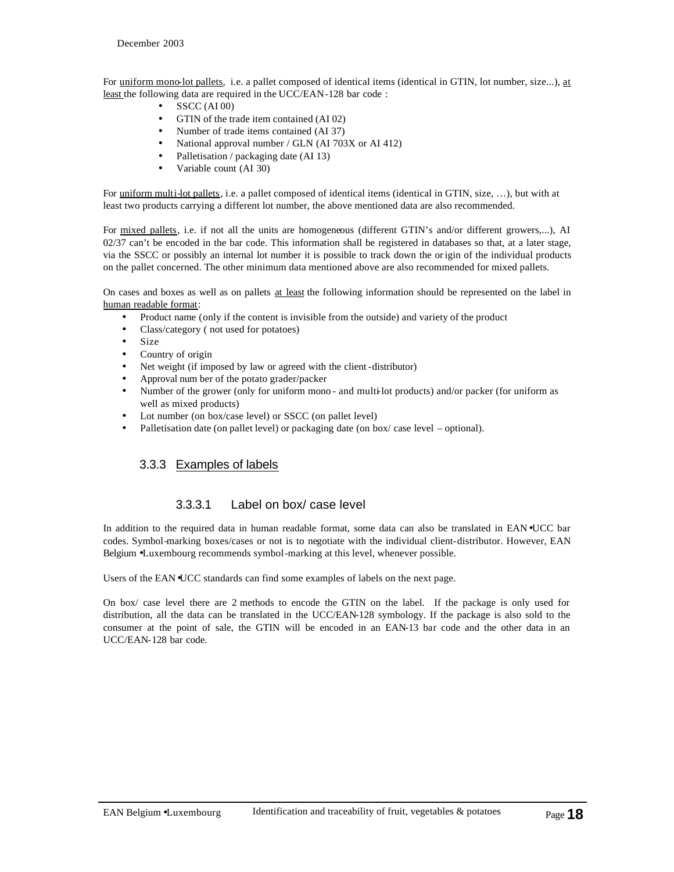For uniform mono-lot pallets, i.e. a pallet composed of identical items (identical in GTIN, lot number, size...), at least the following data are required in the UCC/EAN-128 bar code :

- $\bullet$  SSCC (AI 00)
- GTIN of the trade item contained (AI 02)
- Number of trade items contained (AI 37)
- National approval number / GLN (AI 703X or AI 412)
- Palletisation / packaging date (AI 13)
- Variable count (AI 30)

For uniform multi-lot pallets, i.e. a pallet composed of identical items (identical in GTIN, size, ...), but with at least two products carrying a different lot number, the above mentioned data are also recommended.

For mixed pallets, i.e. if not all the units are homogeneous (different GTIN's and/or different growers,...), AI 02/37 can't be encoded in the bar code. This information shall be registered in databases so that, at a later stage, via the SSCC or possibly an internal lot number it is possible to track down the origin of the individual products on the pallet concerned. The other minimum data mentioned above are also recommended for mixed pallets.

On cases and boxes as well as on pallets at least the following information should be represented on the label in human readable format:

- Product name (only if the content is invisible from the outside) and variety of the product
- Class/category ( not used for potatoes)
- Size
- Country of origin
- Net weight (if imposed by law or agreed with the client-distributor)
- Approval num ber of the potato grader/packer
- Number of the grower (only for uniform mono and multi-lot products) and/or packer (for uniform as well as mixed products)
- Lot number (on box/case level) or SSCC (on pallet level)
- Palletisation date (on pallet level) or packaging date (on box/case level optional).

#### 3.3.3 Examples of labels

#### 3.3.3.1 Label on box/ case level

In addition to the required data in human readable format, some data can also be translated in EAN•UCC bar codes. Symbol-marking boxes/cases or not is to negotiate with the individual client-distributor. However, EAN Belgium •Luxembourg recommends symbol-marking at this level, whenever possible.

Users of the EAN •UCC standards can find some examples of labels on the next page.

On box/ case level there are 2 methods to encode the GTIN on the label. If the package is only used for distribution, all the data can be translated in the UCC/EAN-128 symbology. If the package is also sold to the consumer at the point of sale, the GTIN will be encoded in an EAN-13 bar code and the other data in an UCC/EAN-128 bar code.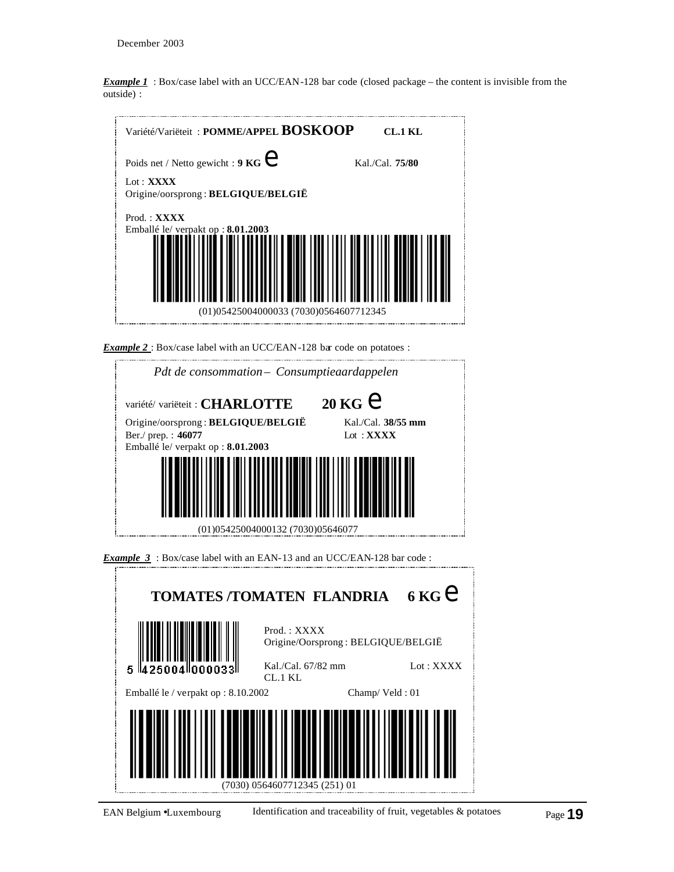*Example 1* : Box/case label with an UCC/EAN-128 bar code (closed package – the content is invisible from the outside) :



*Example 2* : Box/case label with an UCC/EAN-128 bar code on potatoes :





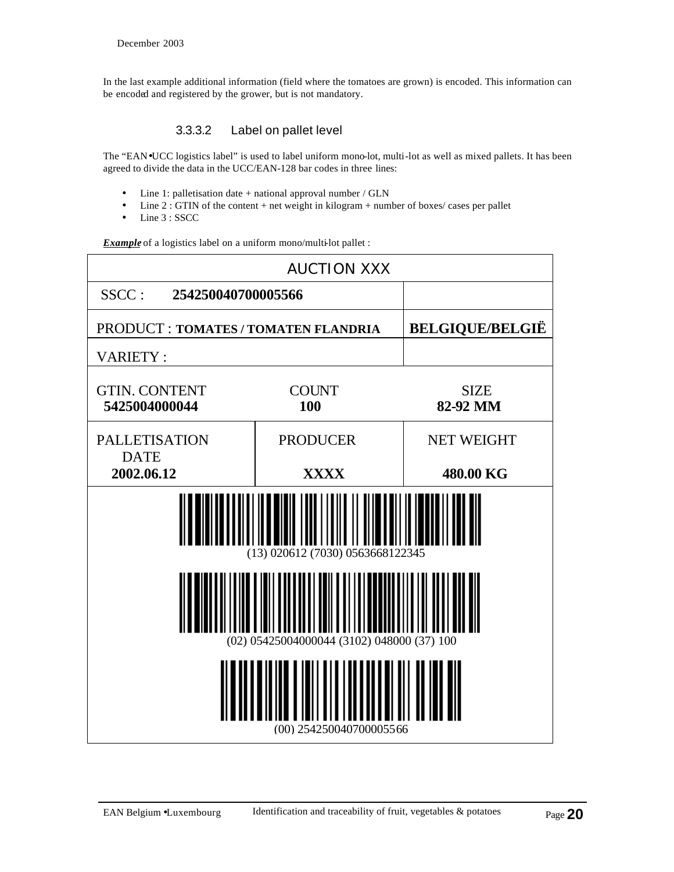In the last example additional information (field where the tomatoes are grown) is encoded. This information can be encoded and registered by the grower, but is not mandatory.

## 3.3.3.2 Label on pallet level

The "EAN•UCC logistics label" is used to label uniform mono-lot, multi-lot as well as mixed pallets. It has been agreed to divide the data in the UCC/EAN-128 bar codes in three lines:

- Line 1: palletisation date + national approval number / GLN
- Line 2 : GTIN of the content + net weight in kilogram + number of boxes/ cases per pallet
- Line 3 : SSCC

*Example* of a logistics label on a uniform mono/multi-lot pallet :

| <b>AUCTION XXX</b>                    |                                            |                         |  |  |
|---------------------------------------|--------------------------------------------|-------------------------|--|--|
| SSCC:<br>254250040700005566           |                                            |                         |  |  |
| PRODUCT : TOMATES / TOMATEN FLANDRIA  |                                            | <b>BELGIQUE/BELGIË</b>  |  |  |
| <b>VARIETY:</b>                       |                                            |                         |  |  |
| <b>GTIN. CONTENT</b><br>5425004000044 | <b>COUNT</b><br>100                        | <b>SIZE</b><br>82-92 MM |  |  |
| <b>PALLETISATION</b>                  | <b>PRODUCER</b>                            | <b>NET WEIGHT</b>       |  |  |
| <b>DATE</b><br>2002.06.12             | <b>XXXX</b>                                | 480.00 KG               |  |  |
|                                       | (13) 020612 (7030) 0563668122345           |                         |  |  |
|                                       | (02) 05425004000044 (3102) 048000 (37) 100 |                         |  |  |
|                                       | (00) 254250040700005566                    |                         |  |  |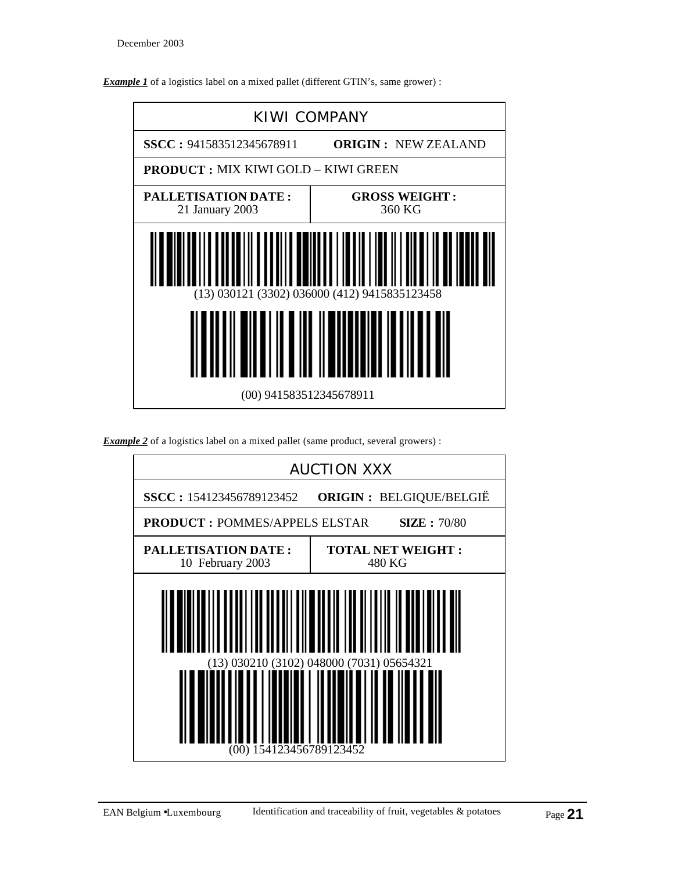



| <b>Example 2</b> of a logistics label on a mixed pallet (same product, several growers): |  |  |  |
|------------------------------------------------------------------------------------------|--|--|--|
|                                                                                          |  |  |  |

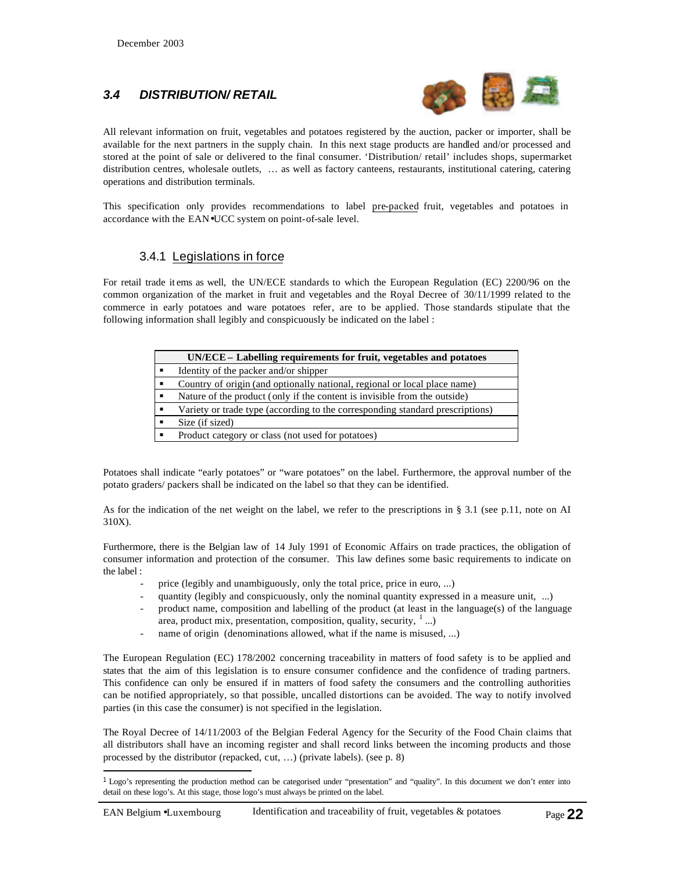l

## *3.4 DISTRIBUTION/ RETAIL*



All relevant information on fruit, vegetables and potatoes registered by the auction, packer or importer, shall be available for the next partners in the supply chain. In this next stage products are handled and/or processed and stored at the point of sale or delivered to the final consumer. 'Distribution/ retail' includes shops, supermarket distribution centres, wholesale outlets, … as well as factory canteens, restaurants, institutional catering, catering operations and distribution terminals.

This specification only provides recommendations to label pre-packed fruit, vegetables and potatoes in accordance with the EAN•UCC system on point-of-sale level.

#### 3.4.1 Legislations in force

For retail trade it ems as well, the UN/ECE standards to which the European Regulation (EC) 2200/96 on the common organization of the market in fruit and vegetables and the Royal Decree of 30/11/1999 related to the commerce in early potatoes and ware potatoes refer, are to be applied. Those standards stipulate that the following information shall legibly and conspicuously be indicated on the label :

| UN/ECE – Labelling requirements for fruit, vegetables and potatoes            |
|-------------------------------------------------------------------------------|
| Identity of the packer and/or shipper                                         |
| Country of origin (and optionally national, regional or local place name)     |
| Nature of the product (only if the content is invisible from the outside)     |
| Variety or trade type (according to the corresponding standard prescriptions) |
| Size (if sized)                                                               |
| Product category or class (not used for potatoes)                             |

Potatoes shall indicate "early potatoes" or "ware potatoes" on the label. Furthermore, the approval number of the potato graders/ packers shall be indicated on the label so that they can be identified.

As for the indication of the net weight on the label, we refer to the prescriptions in § 3.1 (see p.11, note on AI 310X).

Furthermore, there is the Belgian law of 14 July 1991 of Economic Affairs on trade practices, the obligation of consumer information and protection of the consumer. This law defines some basic requirements to indicate on the label :

- price (legibly and unambiguously, only the total price, price in euro, ...)
- quantity (legibly and conspicuously, only the nominal quantity expressed in a measure unit, ...)
- product name, composition and labelling of the product (at least in the language(s) of the language area, product mix, presentation, composition, quality, security,  $\frac{1}{2}$ ...)
- name of origin (denominations allowed, what if the name is misused, ...)

The European Regulation (EC) 178/2002 concerning traceability in matters of food safety is to be applied and states that the aim of this legislation is to ensure consumer confidence and the confidence of trading partners. This confidence can only be ensured if in matters of food safety the consumers and the controlling authorities can be notified appropriately, so that possible, uncalled distortions can be avoided. The way to notify involved parties (in this case the consumer) is not specified in the legislation.

The Royal Decree of 14/11/2003 of the Belgian Federal Agency for the Security of the Food Chain claims that all distributors shall have an incoming register and shall record links between the incoming products and those processed by the distributor (repacked, cut, …) (private labels). (see p. 8)

<sup>1</sup> Logo's representing the production method can be categorised under "presentation" and "quality". In this document we don't enter into detail on these logo's. At this stage, those logo's must always be printed on the label.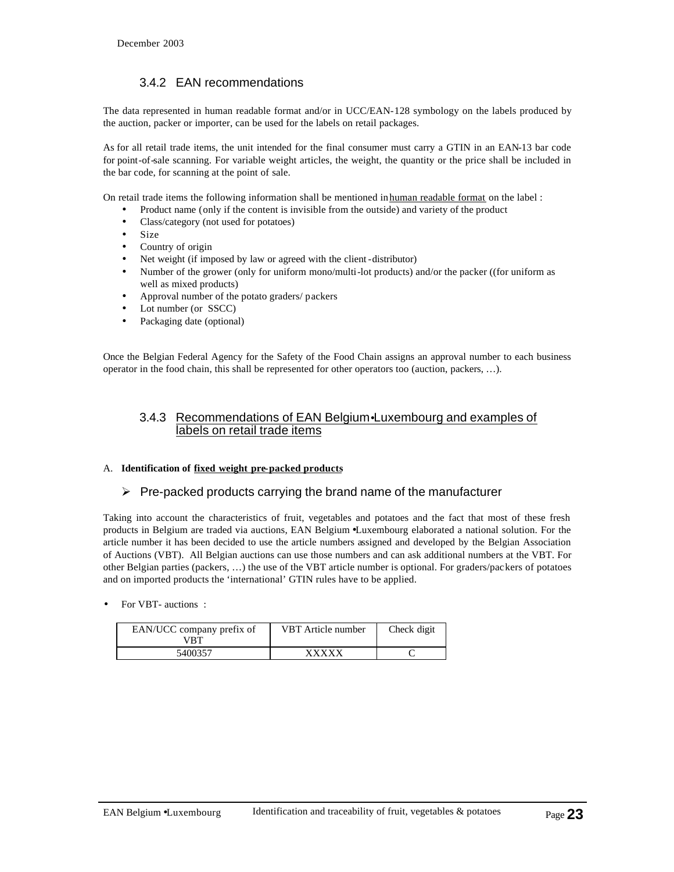## 3.4.2 EAN recommendations

The data represented in human readable format and/or in UCC/EAN-128 symbology on the labels produced by the auction, packer or importer, can be used for the labels on retail packages.

As for all retail trade items, the unit intended for the final consumer must carry a GTIN in an EAN-13 bar code for point-of-sale scanning. For variable weight articles, the weight, the quantity or the price shall be included in the bar code, for scanning at the point of sale.

On retail trade items the following information shall be mentioned in human readable format on the label :

- Product name (only if the content is invisible from the outside) and variety of the product
- Class/category (not used for potatoes)
- Size
- Country of origin
- Net weight (if imposed by law or agreed with the client-distributor)
- Number of the grower (only for uniform mono/multi-lot products) and/or the packer ((for uniform as well as mixed products)
- Approval number of the potato graders/ packers
- Lot number (or SSCC)
- Packaging date (optional)

Once the Belgian Federal Agency for the Safety of the Food Chain assigns an approval number to each business operator in the food chain, this shall be represented for other operators too (auction, packers, …).

#### 3.4.3 Recommendations of EAN Belgium•Luxembourg and examples of labels on retail trade items

#### A. **Identification of fixed weight pre-packed products**

#### $\triangleright$  Pre-packed products carrying the brand name of the manufacturer

Taking into account the characteristics of fruit, vegetables and potatoes and the fact that most of these fresh products in Belgium are traded via auctions, EAN Belgium •Luxembourg elaborated a national solution. For the article number it has been decided to use the article numbers assigned and developed by the Belgian Association of Auctions (VBT). All Belgian auctions can use those numbers and can ask additional numbers at the VBT. For other Belgian parties (packers, …) the use of the VBT article number is optional. For graders/packers of potatoes and on imported products the 'international' GTIN rules have to be applied.

• For VBT- auctions :

| EAN/UCC company prefix of<br>VRT | VBT Article number | Check digit |
|----------------------------------|--------------------|-------------|
| 5400357                          | <b>YYYYY</b>       |             |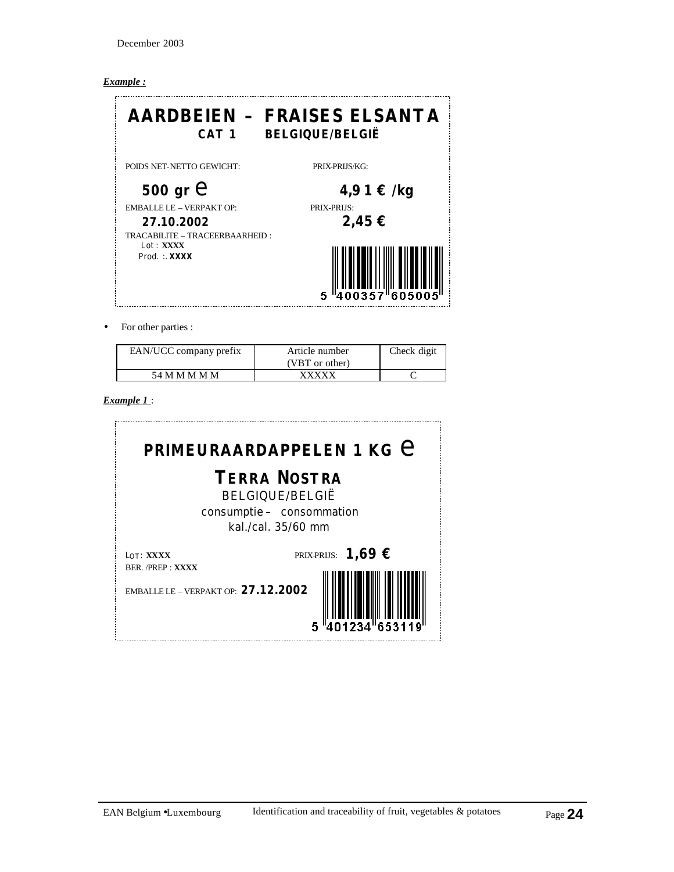December 2003

#### *Example :*



• For other parties :

| EAN/UCC company prefix | Article number<br>(VBT or other) | Check digit |
|------------------------|----------------------------------|-------------|
| 54 M M M M M           | xxxxx                            |             |

*Example 1* :

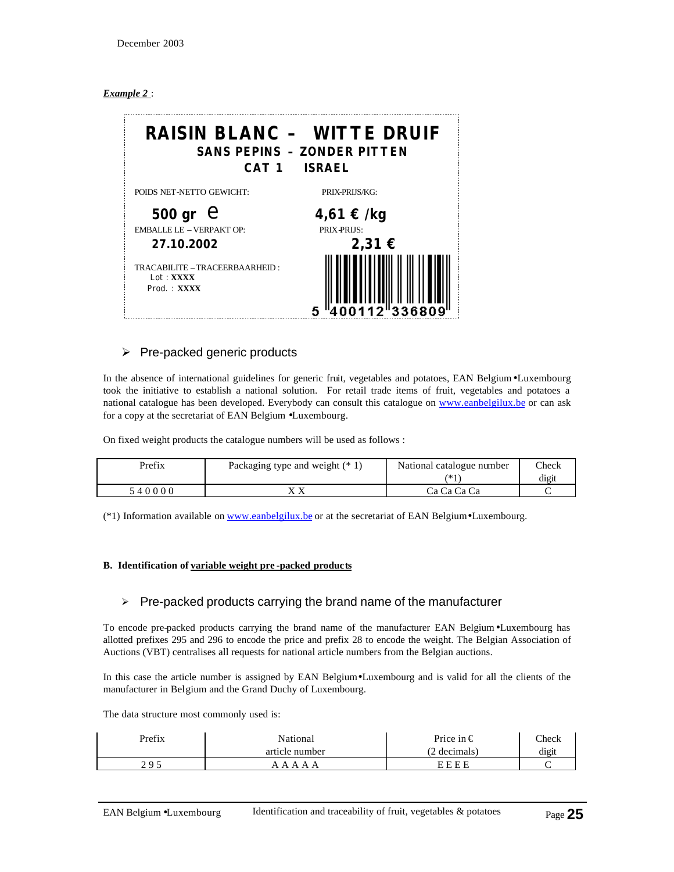#### *Example 2* :



#### $\triangleright$  Pre-packed generic products

In the absence of international guidelines for generic fruit, vegetables and potatoes, EAN Belgium•Luxembourg took the initiative to establish a national solution. For retail trade items of fruit, vegetables and potatoes a national catalogue has been developed. Everybody can consult this catalogue on www.eanbelgilux.be or can ask for a copy at the secretariat of EAN Belgium •Luxembourg.

On fixed weight products the catalogue numbers will be used as follows :

| Prefix | Packaging type and weight $(* 1)$ | National catalogue number | Check |
|--------|-----------------------------------|---------------------------|-------|
|        |                                   | ′* 1                      | digit |
| 540000 |                                   | Ca Ca Ca Ca               |       |

(\*1) Information available on www.eanbelgilux.be or at the secretariat of EAN Belgium•Luxembourg.

#### **B. Identification of variable weight pre -packed products**

#### $\triangleright$  Pre-packed products carrying the brand name of the manufacturer

To encode pre-packed products carrying the brand name of the manufacturer EAN Belgium•Luxembourg has allotted prefixes 295 and 296 to encode the price and prefix 28 to encode the weight. The Belgian Association of Auctions (VBT) centralises all requests for national article numbers from the Belgian auctions.

In this case the article number is assigned by EAN Belgium•Luxembourg and is valid for all the clients of the manufacturer in Belgium and the Grand Duchy of Luxembourg.

The data structure most commonly used is:

| Prefix | National       | Price in $\in$ | $\text{Check}$ |
|--------|----------------|----------------|----------------|
|        | article number | (2 decimals)   | digit          |
| າ ດ ເ  | AA<br>$\Delta$ | FFFF           |                |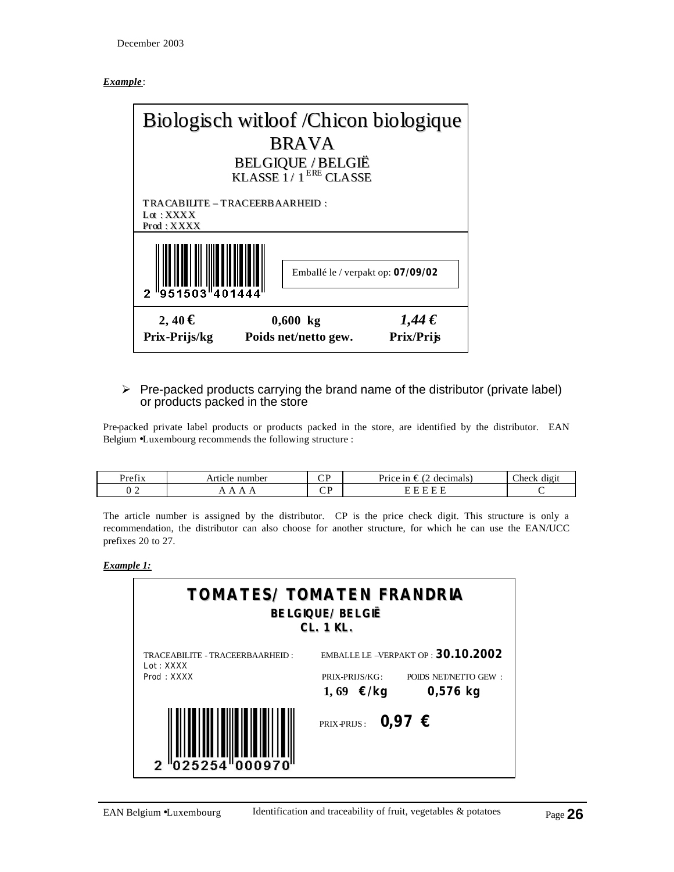#### *Example*:



#### $\triangleright$  Pre-packed products carrying the brand name of the distributor (private label) or products packed in the store

Pre-packed private label products or products packed in the store, are identified by the distributor. EAN Belgium •Luxembourg recommends the following structure :

| $\mathbf{C}$<br>Prefix | number<br>- Article | חי∩<br>ັ | $\sqrt{2}$<br>decimals<br>Price in<br>≠              | $\mathbb{C}$ heck<br>. .<br>(101) |
|------------------------|---------------------|----------|------------------------------------------------------|-----------------------------------|
| <u>_</u>               |                     | ັ        | $\overline{\phantom{0}}$<br>$\overline{\phantom{0}}$ |                                   |

The article number is assigned by the distributor. CP is the price check digit. This structure is only a recommendation, the distributor can also choose for another structure, for which he can use the EAN/UCC prefixes 20 to 27.

*Example 1:*